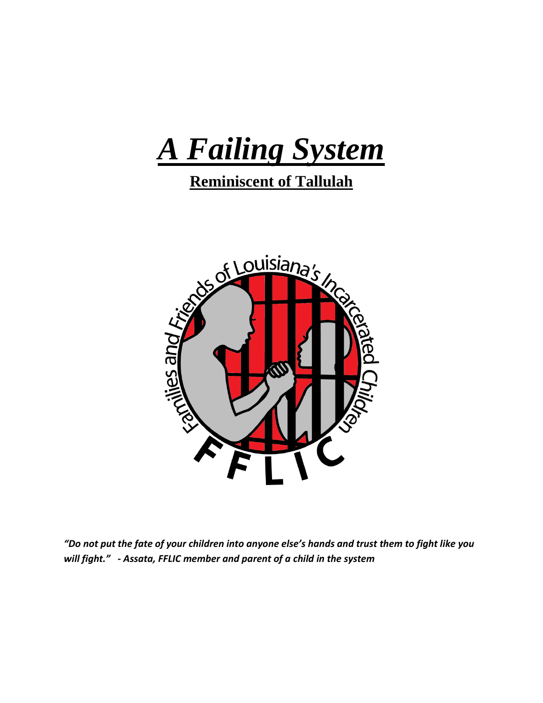

# **Reminiscent of Tallulah**



*"Do not put the fate of your children into anyone else's hands and trust them to fight like you will fight." - Assata, FFLIC member and parent of a child in the system*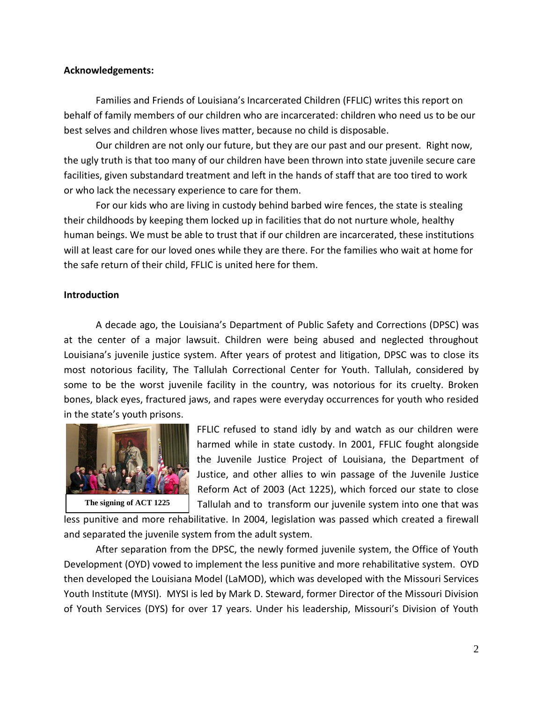## **Acknowledgements:**

Families and Friends of Louisiana's Incarcerated Children (FFLIC) writes this report on behalf of family members of our children who are incarcerated: children who need us to be our best selves and children whose lives matter, because no child is disposable.

Our children are not only our future, but they are our past and our present. Right now, the ugly truth is that too many of our children have been thrown into state juvenile secure care facilities, given substandard treatment and left in the hands of staff that are too tired to work or who lack the necessary experience to care for them.

For our kids who are living in custody behind barbed wire fences, the state is stealing their childhoods by keeping them locked up in facilities that do not nurture whole, healthy human beings. We must be able to trust that if our children are incarcerated, these institutions will at least care for our loved ones while they are there. For the families who wait at home for the safe return of their child, FFLIC is united here for them.

# **Introduction**

A decade ago, the Louisiana's Department of Public Safety and Corrections (DPSC) was at the center of a major lawsuit. Children were being abused and neglected throughout Louisiana's juvenile justice system. After years of protest and litigation, DPSC was to close its most notorious facility, The Tallulah Correctional Center for Youth. Tallulah, considered by some to be the worst juvenile facility in the country, was notorious for its cruelty. Broken bones, black eyes, fractured jaws, and rapes were everyday occurrences for youth who resided in the state's youth prisons.



FFLIC refused to stand idly by and watch as our children were harmed while in state custody. In 2001, FFLIC fought alongside the Juvenile Justice Project of Louisiana, the Department of Justice, and other allies to win passage of the Juvenile Justice Reform Act of 2003 (Act 1225), which forced our state to close Tallulah and to transform our juvenile system into one that was

less punitive and more rehabilitative. In 2004, legislation was passed which created a firewall and separated the juvenile system from the adult system.

After separation from the DPSC, the newly formed juvenile system, the Office of Youth Development (OYD) vowed to implement the less punitive and more rehabilitative system. OYD then developed the Louisiana Model (LaMOD), which was developed with the Missouri Services Youth Institute (MYSI). MYSI is led by Mark D. Steward, former Director of the Missouri Division of Youth Services (DYS) for over 17 years. Under his leadership, Missouri's Division of Youth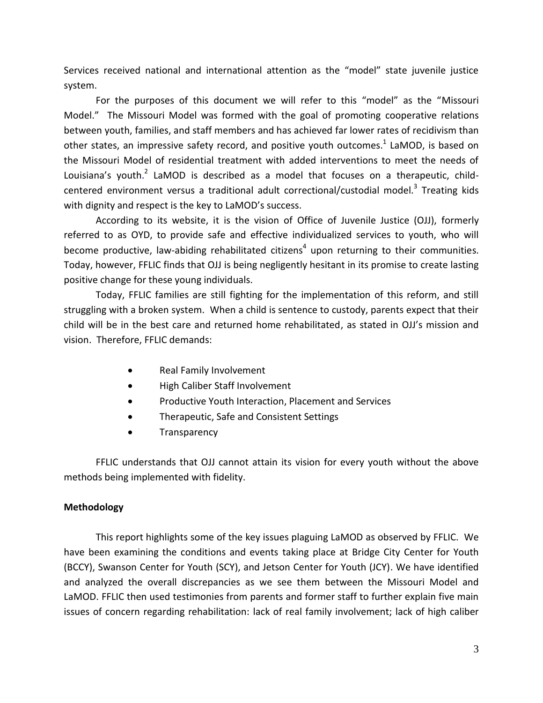Services received national and international attention as the "model" state juvenile justice system.

For the purposes of this document we will refer to this "model" as the "Missouri Model." The Missouri Model was formed with the goal of promoting cooperative relations between youth, families, and staff members and has achieved far lower rates of recidivism than other states, an impressive safety record, and positive youth outcomes.<sup>1</sup> LaMOD, is based on the Missouri Model of residential treatment with added interventions to meet the needs of Louisiana's youth.<sup>2</sup> LaMOD is described as a model that focuses on a therapeutic, childcentered environment versus a traditional adult correctional/custodial model.<sup>3</sup> Treating kids with dignity and respect is the key to LaMOD's success.

According to its website, it is the vision of Office of Juvenile Justice (OJJ), formerly referred to as OYD, to provide safe and effective individualized services to youth, who will become productive, law-abiding rehabilitated citizens<sup>4</sup> upon returning to their communities. Today, however, FFLIC finds that OJJ is being negligently hesitant in its promise to create lasting positive change for these young individuals.

Today, FFLIC families are still fighting for the implementation of this reform, and still struggling with a broken system. When a child is sentence to custody, parents expect that their child will be in the best care and returned home rehabilitated, as stated in OJJ's mission and vision. Therefore, FFLIC demands:

- Real Family Involvement
- High Caliber Staff Involvement
- Productive Youth Interaction, Placement and Services
- Therapeutic, Safe and Consistent Settings
- **•** Transparency

FFLIC understands that OJJ cannot attain its vision for every youth without the above methods being implemented with fidelity.

# **Methodology**

This report highlights some of the key issues plaguing LaMOD as observed by FFLIC. We have been examining the conditions and events taking place at Bridge City Center for Youth (BCCY), Swanson Center for Youth (SCY), and Jetson Center for Youth (JCY). We have identified and analyzed the overall discrepancies as we see them between the Missouri Model and LaMOD. FFLIC then used testimonies from parents and former staff to further explain five main issues of concern regarding rehabilitation: lack of real family involvement; lack of high caliber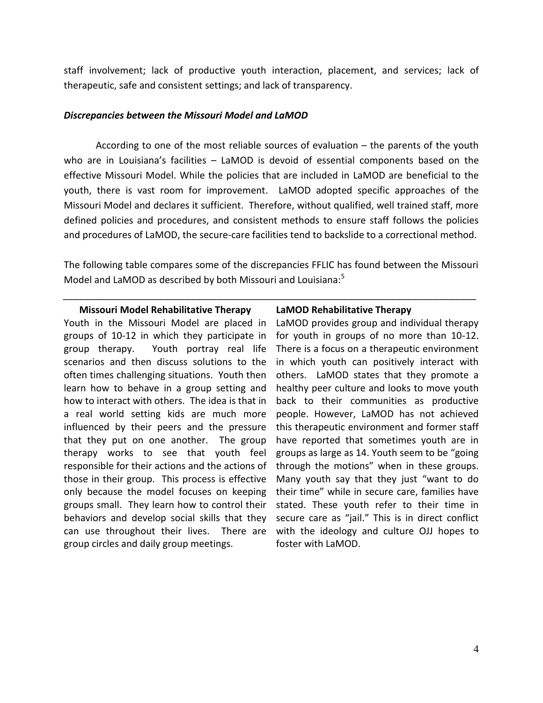staff involvement; lack of productive youth interaction, placement, and services; lack of therapeutic, safe and consistent settings; and lack of transparency.

## *Discrepancies between the Missouri Model and LaMOD*

According to one of the most reliable sources of evaluation – the parents of the youth who are in Louisiana's facilities - LaMOD is devoid of essential components based on the effective Missouri Model. While the policies that are included in LaMOD are beneficial to the youth, there is vast room for improvement. LaMOD adopted specific approaches of the Missouri Model and declares it sufficient. Therefore, without qualified, well trained staff, more defined policies and procedures, and consistent methods to ensure staff follows the policies and procedures of LaMOD, the secure-care facilities tend to backslide to a correctional method.

The following table compares some of the discrepancies FFLIC has found between the Missouri Model and LaMOD as described by both Missouri and Louisiana:<sup>5</sup>

*\_\_\_\_\_\_\_\_\_\_\_\_\_\_\_\_\_\_\_\_\_\_\_\_\_\_\_\_\_\_\_\_\_\_\_\_\_\_\_\_\_\_\_\_\_\_\_\_\_\_\_\_\_\_\_\_\_\_\_\_\_\_\_\_\_\_\_\_\_\_\_\_\_\_\_\_\_\_*

#### **Missouri Model Rehabilitative Therapy**

Youth in the Missouri Model are placed in groups of 10-12 in which they participate in group therapy. Youth portray real life scenarios and then discuss solutions to the often times challenging situations. Youth then learn how to behave in a group setting and how to interact with others. The idea is that in a real world setting kids are much more influenced by their peers and the pressure that they put on one another. The group therapy works to see that youth feel responsible for their actions and the actions of those in their group. This process is effective only because the model focuses on keeping groups small. They learn how to control their behaviors and develop social skills that they can use throughout their lives. There are group circles and daily group meetings.

## **LaMOD Rehabilitative Therapy**

LaMOD provides group and individual therapy for youth in groups of no more than 10-12. There is a focus on a therapeutic environment in which youth can positively interact with others. LaMOD states that they promote a healthy peer culture and looks to move youth back to their communities as productive people. However, LaMOD has not achieved this therapeutic environment and former staff have reported that sometimes youth are in groups as large as 14. Youth seem to be "going through the motions" when in these groups. Many youth say that they just "want to do their time" while in secure care, families have stated. These youth refer to their time in secure care as "jail." This is in direct conflict with the ideology and culture OJJ hopes to foster with LaMOD.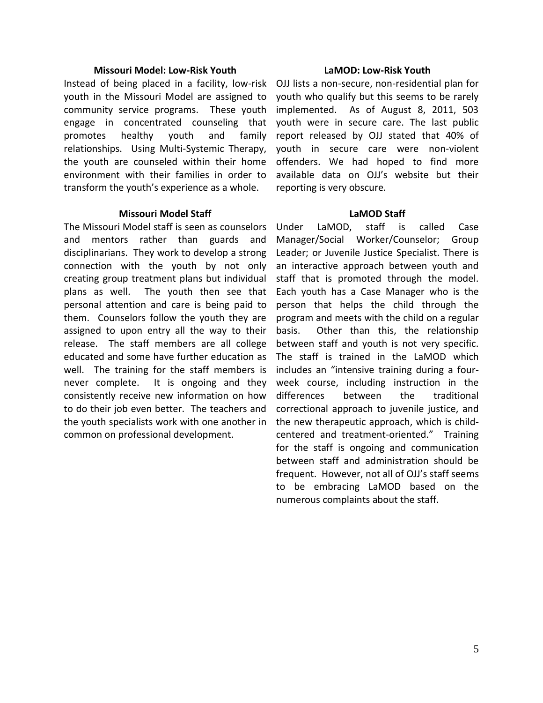## **Missouri Model: Low-Risk Youth**

Instead of being placed in a facility, low-risk youth in the Missouri Model are assigned to community service programs. These youth engage in concentrated counseling that promotes healthy youth and family relationships. Using Multi-Systemic Therapy, the youth are counseled within their home environment with their families in order to transform the youth's experience as a whole.

## **Missouri Model Staff**

The Missouri Model staff is seen as counselors and mentors rather than guards and disciplinarians. They work to develop a strong connection with the youth by not only creating group treatment plans but individual plans as well. The youth then see that personal attention and care is being paid to them. Counselors follow the youth they are assigned to upon entry all the way to their release. The staff members are all college educated and some have further education as well. The training for the staff members is never complete. It is ongoing and they consistently receive new information on how to do their job even better. The teachers and the youth specialists work with one another in common on professional development.

## **LaMOD: Low-Risk Youth**

OJJ lists a non-secure, non-residential plan for youth who qualify but this seems to be rarely implemented. As of August 8, 2011, 503 youth were in secure care. The last public report released by OJJ stated that 40% of youth in secure care were non-violent offenders. We had hoped to find more available data on OJJ's website but their reporting is very obscure.

## **LaMOD Staff**

Under LaMOD, staff is called Case Manager/Social Worker/Counselor; Group Leader; or Juvenile Justice Specialist. There is an interactive approach between youth and staff that is promoted through the model. Each youth has a Case Manager who is the person that helps the child through the program and meets with the child on a regular basis. Other than this, the relationship between staff and youth is not very specific. The staff is trained in the LaMOD which includes an "intensive training during a fourweek course, including instruction in the differences between the traditional correctional approach to juvenile justice, and the new therapeutic approach, which is childcentered and treatment-oriented." Training for the staff is ongoing and communication between staff and administration should be frequent. However, not all of OJJ's staff seems to be embracing LaMOD based on the numerous complaints about the staff.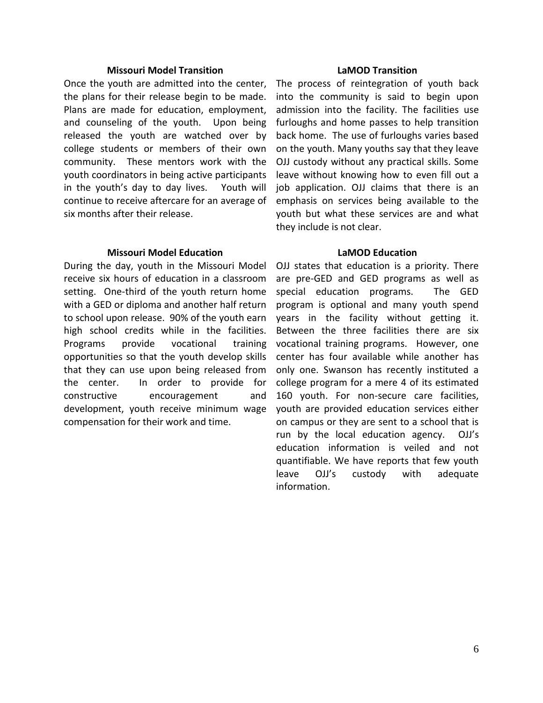#### **Missouri Model Transition**

Once the youth are admitted into the center, the plans for their release begin to be made. Plans are made for education, employment, and counseling of the youth. Upon being released the youth are watched over by college students or members of their own community. These mentors work with the youth coordinators in being active participants in the youth's day to day lives. Youth will continue to receive aftercare for an average of six months after their release.

#### **Missouri Model Education**

During the day, youth in the Missouri Model receive six hours of education in a classroom setting. One-third of the youth return home with a GED or diploma and another half return to school upon release. 90% of the youth earn high school credits while in the facilities. Programs provide vocational training opportunities so that the youth develop skills that they can use upon being released from the center. In order to provide for constructive encouragement and development, youth receive minimum wage compensation for their work and time.

#### **LaMOD Transition**

The process of reintegration of youth back into the community is said to begin upon admission into the facility. The facilities use furloughs and home passes to help transition back home. The use of furloughs varies based on the youth. Many youths say that they leave OJJ custody without any practical skills. Some leave without knowing how to even fill out a job application. OJJ claims that there is an emphasis on services being available to the youth but what these services are and what they include is not clear.

#### **LaMOD Education**

OJJ states that education is a priority. There are pre-GED and GED programs as well as special education programs. The GED program is optional and many youth spend years in the facility without getting it. Between the three facilities there are six vocational training programs. However, one center has four available while another has only one. Swanson has recently instituted a college program for a mere 4 of its estimated 160 youth. For non-secure care facilities, youth are provided education services either on campus or they are sent to a school that is run by the local education agency. OJJ's education information is veiled and not quantifiable. We have reports that few youth leave OJJ's custody with adequate information.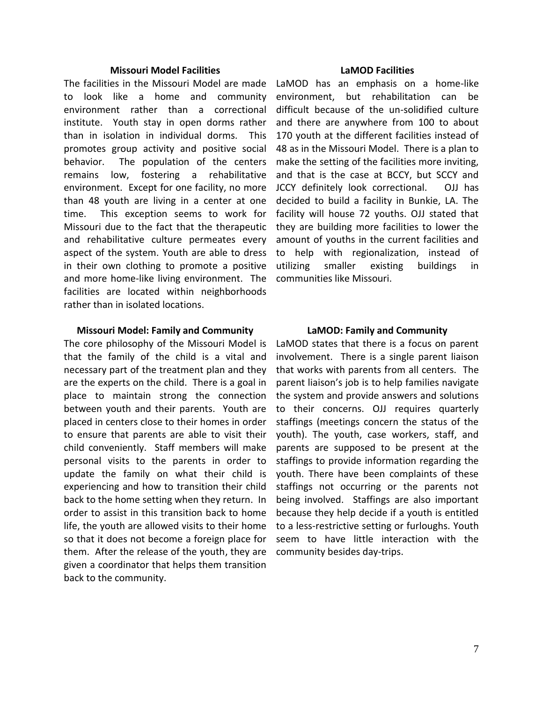#### **Missouri Model Facilities**

The facilities in the Missouri Model are made to look like a home and community environment rather than a correctional institute. Youth stay in open dorms rather than in isolation in individual dorms. This promotes group activity and positive social behavior. The population of the centers remains low, fostering a rehabilitative environment. Except for one facility, no more than 48 youth are living in a center at one time. This exception seems to work for Missouri due to the fact that the therapeutic and rehabilitative culture permeates every aspect of the system. Youth are able to dress in their own clothing to promote a positive and more home-like living environment. The facilities are located within neighborhoods rather than in isolated locations.

#### **Missouri Model: Family and Community**

The core philosophy of the Missouri Model is that the family of the child is a vital and necessary part of the treatment plan and they are the experts on the child. There is a goal in place to maintain strong the connection between youth and their parents. Youth are placed in centers close to their homes in order to ensure that parents are able to visit their child conveniently. Staff members will make personal visits to the parents in order to update the family on what their child is experiencing and how to transition their child back to the home setting when they return. In order to assist in this transition back to home life, the youth are allowed visits to their home so that it does not become a foreign place for them. After the release of the youth, they are given a coordinator that helps them transition back to the community.

#### **LaMOD Facilities**

LaMOD has an emphasis on a home-like environment, but rehabilitation can be difficult because of the un-solidified culture and there are anywhere from 100 to about 170 youth at the different facilities instead of 48 as in the Missouri Model. There is a plan to make the setting of the facilities more inviting, and that is the case at BCCY, but SCCY and JCCY definitely look correctional. OJJ has decided to build a facility in Bunkie, LA. The facility will house 72 youths. OJJ stated that they are building more facilities to lower the amount of youths in the current facilities and to help with regionalization, instead of utilizing smaller existing buildings in communities like Missouri.

#### **LaMOD: Family and Community**

LaMOD states that there is a focus on parent involvement. There is a single parent liaison that works with parents from all centers. The parent liaison's job is to help families navigate the system and provide answers and solutions to their concerns. OJJ requires quarterly staffings (meetings concern the status of the youth). The youth, case workers, staff, and parents are supposed to be present at the staffings to provide information regarding the youth. There have been complaints of these staffings not occurring or the parents not being involved. Staffings are also important because they help decide if a youth is entitled to a less-restrictive setting or furloughs. Youth seem to have little interaction with the community besides day-trips.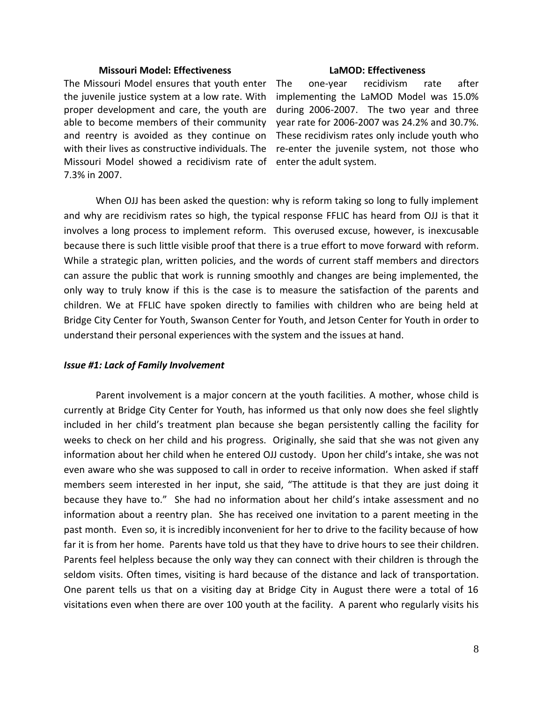#### **Missouri Model: Effectiveness**

The Missouri Model ensures that youth enter the juvenile justice system at a low rate. With proper development and care, the youth are able to become members of their community and reentry is avoided as they continue on with their lives as constructive individuals. The Missouri Model showed a recidivism rate of enter the adult system. 7.3% in 2007.

#### **LaMOD: Effectiveness**

The one-year recidivism rate after implementing the LaMOD Model was 15.0% during 2006-2007. The two year and three year rate for 2006-2007 was 24.2% and 30.7%. These recidivism rates only include youth who re-enter the juvenile system, not those who

When OJJ has been asked the question: why is reform taking so long to fully implement and why are recidivism rates so high, the typical response FFLIC has heard from OJJ is that it involves a long process to implement reform. This overused excuse, however, is inexcusable because there is such little visible proof that there is a true effort to move forward with reform. While a strategic plan, written policies, and the words of current staff members and directors can assure the public that work is running smoothly and changes are being implemented, the only way to truly know if this is the case is to measure the satisfaction of the parents and children. We at FFLIC have spoken directly to families with children who are being held at Bridge City Center for Youth, Swanson Center for Youth, and Jetson Center for Youth in order to understand their personal experiences with the system and the issues at hand.

## *Issue #1: Lack of Family Involvement*

Parent involvement is a major concern at the youth facilities. A mother, whose child is currently at Bridge City Center for Youth, has informed us that only now does she feel slightly included in her child's treatment plan because she began persistently calling the facility for weeks to check on her child and his progress. Originally, she said that she was not given any information about her child when he entered OJJ custody. Upon her child's intake, she was not even aware who she was supposed to call in order to receive information. When asked if staff members seem interested in her input, she said, "The attitude is that they are just doing it because they have to." She had no information about her child's intake assessment and no information about a reentry plan. She has received one invitation to a parent meeting in the past month. Even so, it is incredibly inconvenient for her to drive to the facility because of how far it is from her home. Parents have told us that they have to drive hours to see their children. Parents feel helpless because the only way they can connect with their children is through the seldom visits. Often times, visiting is hard because of the distance and lack of transportation. One parent tells us that on a visiting day at Bridge City in August there were a total of 16 visitations even when there are over 100 youth at the facility. A parent who regularly visits his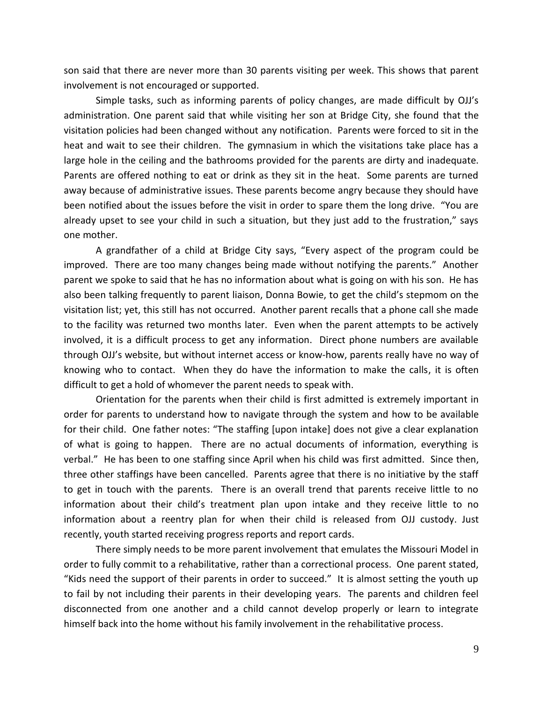son said that there are never more than 30 parents visiting per week. This shows that parent involvement is not encouraged or supported.

Simple tasks, such as informing parents of policy changes, are made difficult by OJJ's administration. One parent said that while visiting her son at Bridge City, she found that the visitation policies had been changed without any notification. Parents were forced to sit in the heat and wait to see their children. The gymnasium in which the visitations take place has a large hole in the ceiling and the bathrooms provided for the parents are dirty and inadequate. Parents are offered nothing to eat or drink as they sit in the heat. Some parents are turned away because of administrative issues. These parents become angry because they should have been notified about the issues before the visit in order to spare them the long drive. "You are already upset to see your child in such a situation, but they just add to the frustration," says one mother.

A grandfather of a child at Bridge City says, "Every aspect of the program could be improved. There are too many changes being made without notifying the parents." Another parent we spoke to said that he has no information about what is going on with his son. He has also been talking frequently to parent liaison, Donna Bowie, to get the child's stepmom on the visitation list; yet, this still has not occurred. Another parent recalls that a phone call she made to the facility was returned two months later. Even when the parent attempts to be actively involved, it is a difficult process to get any information. Direct phone numbers are available through OJJ's website, but without internet access or know-how, parents really have no way of knowing who to contact. When they do have the information to make the calls, it is often difficult to get a hold of whomever the parent needs to speak with.

Orientation for the parents when their child is first admitted is extremely important in order for parents to understand how to navigate through the system and how to be available for their child. One father notes: "The staffing [upon intake] does not give a clear explanation of what is going to happen. There are no actual documents of information, everything is verbal." He has been to one staffing since April when his child was first admitted. Since then, three other staffings have been cancelled. Parents agree that there is no initiative by the staff to get in touch with the parents. There is an overall trend that parents receive little to no information about their child's treatment plan upon intake and they receive little to no information about a reentry plan for when their child is released from OJJ custody. Just recently, youth started receiving progress reports and report cards.

There simply needs to be more parent involvement that emulates the Missouri Model in order to fully commit to a rehabilitative, rather than a correctional process. One parent stated, "Kids need the support of their parents in order to succeed." It is almost setting the youth up to fail by not including their parents in their developing years. The parents and children feel disconnected from one another and a child cannot develop properly or learn to integrate himself back into the home without his family involvement in the rehabilitative process.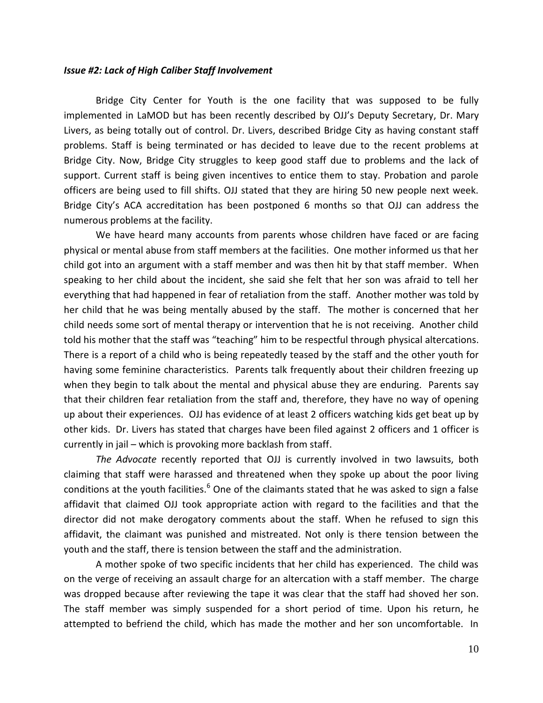#### *Issue #2: Lack of High Caliber Staff Involvement*

Bridge City Center for Youth is the one facility that was supposed to be fully implemented in LaMOD but has been recently described by OJJ's Deputy Secretary, Dr. Mary Livers, as being totally out of control. Dr. Livers, described Bridge City as having constant staff problems. Staff is being terminated or has decided to leave due to the recent problems at Bridge City. Now, Bridge City struggles to keep good staff due to problems and the lack of support. Current staff is being given incentives to entice them to stay. Probation and parole officers are being used to fill shifts. OJJ stated that they are hiring 50 new people next week. Bridge City's ACA accreditation has been postponed 6 months so that OJJ can address the numerous problems at the facility.

We have heard many accounts from parents whose children have faced or are facing physical or mental abuse from staff members at the facilities. One mother informed us that her child got into an argument with a staff member and was then hit by that staff member. When speaking to her child about the incident, she said she felt that her son was afraid to tell her everything that had happened in fear of retaliation from the staff. Another mother was told by her child that he was being mentally abused by the staff. The mother is concerned that her child needs some sort of mental therapy or intervention that he is not receiving. Another child told his mother that the staff was "teaching" him to be respectful through physical altercations. There is a report of a child who is being repeatedly teased by the staff and the other youth for having some feminine characteristics. Parents talk frequently about their children freezing up when they begin to talk about the mental and physical abuse they are enduring. Parents say that their children fear retaliation from the staff and, therefore, they have no way of opening up about their experiences. OJJ has evidence of at least 2 officers watching kids get beat up by other kids. Dr. Livers has stated that charges have been filed against 2 officers and 1 officer is currently in jail – which is provoking more backlash from staff.

*The Advocate* recently reported that OJJ is currently involved in two lawsuits, both claiming that staff were harassed and threatened when they spoke up about the poor living conditions at the vouth facilities.<sup>6</sup> One of the claimants stated that he was asked to sign a false affidavit that claimed OJJ took appropriate action with regard to the facilities and that the director did not make derogatory comments about the staff. When he refused to sign this affidavit, the claimant was punished and mistreated. Not only is there tension between the youth and the staff, there is tension between the staff and the administration.

A mother spoke of two specific incidents that her child has experienced. The child was on the verge of receiving an assault charge for an altercation with a staff member. The charge was dropped because after reviewing the tape it was clear that the staff had shoved her son. The staff member was simply suspended for a short period of time. Upon his return, he attempted to befriend the child, which has made the mother and her son uncomfortable. In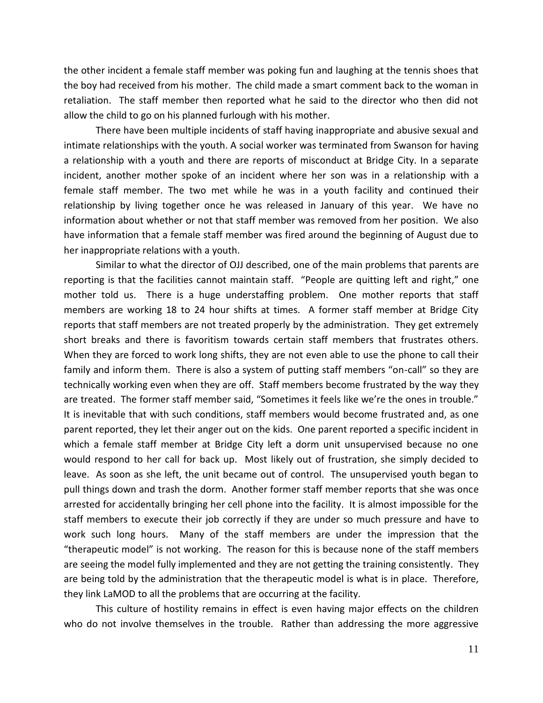the other incident a female staff member was poking fun and laughing at the tennis shoes that the boy had received from his mother. The child made a smart comment back to the woman in retaliation. The staff member then reported what he said to the director who then did not allow the child to go on his planned furlough with his mother.

There have been multiple incidents of staff having inappropriate and abusive sexual and intimate relationships with the youth. A social worker was terminated from Swanson for having a relationship with a youth and there are reports of misconduct at Bridge City. In a separate incident, another mother spoke of an incident where her son was in a relationship with a female staff member. The two met while he was in a youth facility and continued their relationship by living together once he was released in January of this year. We have no information about whether or not that staff member was removed from her position. We also have information that a female staff member was fired around the beginning of August due to her inappropriate relations with a youth.

Similar to what the director of OJJ described, one of the main problems that parents are reporting is that the facilities cannot maintain staff. "People are quitting left and right," one mother told us. There is a huge understaffing problem. One mother reports that staff members are working 18 to 24 hour shifts at times. A former staff member at Bridge City reports that staff members are not treated properly by the administration. They get extremely short breaks and there is favoritism towards certain staff members that frustrates others. When they are forced to work long shifts, they are not even able to use the phone to call their family and inform them. There is also a system of putting staff members "on-call" so they are technically working even when they are off. Staff members become frustrated by the way they are treated. The former staff member said, "Sometimes it feels like we're the ones in trouble." It is inevitable that with such conditions, staff members would become frustrated and, as one parent reported, they let their anger out on the kids. One parent reported a specific incident in which a female staff member at Bridge City left a dorm unit unsupervised because no one would respond to her call for back up. Most likely out of frustration, she simply decided to leave. As soon as she left, the unit became out of control. The unsupervised youth began to pull things down and trash the dorm. Another former staff member reports that she was once arrested for accidentally bringing her cell phone into the facility. It is almost impossible for the staff members to execute their job correctly if they are under so much pressure and have to work such long hours. Many of the staff members are under the impression that the "therapeutic model" is not working. The reason for this is because none of the staff members are seeing the model fully implemented and they are not getting the training consistently. They are being told by the administration that the therapeutic model is what is in place. Therefore, they link LaMOD to all the problems that are occurring at the facility.

This culture of hostility remains in effect is even having major effects on the children who do not involve themselves in the trouble. Rather than addressing the more aggressive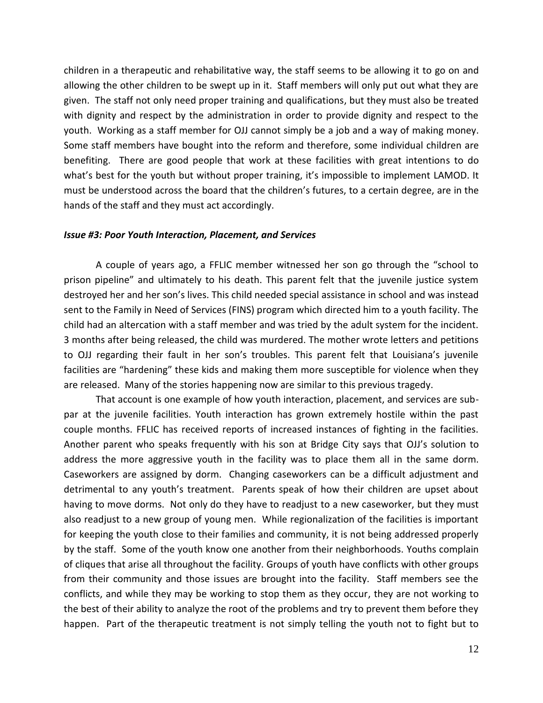children in a therapeutic and rehabilitative way, the staff seems to be allowing it to go on and allowing the other children to be swept up in it. Staff members will only put out what they are given. The staff not only need proper training and qualifications, but they must also be treated with dignity and respect by the administration in order to provide dignity and respect to the youth. Working as a staff member for OJJ cannot simply be a job and a way of making money. Some staff members have bought into the reform and therefore, some individual children are benefiting. There are good people that work at these facilities with great intentions to do what's best for the youth but without proper training, it's impossible to implement LAMOD. It must be understood across the board that the children's futures, to a certain degree, are in the hands of the staff and they must act accordingly.

## *Issue #3: Poor Youth Interaction, Placement, and Services*

A couple of years ago, a FFLIC member witnessed her son go through the "school to prison pipeline" and ultimately to his death. This parent felt that the juvenile justice system destroyed her and her son's lives. This child needed special assistance in school and was instead sent to the Family in Need of Services (FINS) program which directed him to a youth facility. The child had an altercation with a staff member and was tried by the adult system for the incident. 3 months after being released, the child was murdered. The mother wrote letters and petitions to OJJ regarding their fault in her son's troubles. This parent felt that Louisiana's juvenile facilities are "hardening" these kids and making them more susceptible for violence when they are released. Many of the stories happening now are similar to this previous tragedy.

That account is one example of how youth interaction, placement, and services are subpar at the juvenile facilities. Youth interaction has grown extremely hostile within the past couple months. FFLIC has received reports of increased instances of fighting in the facilities. Another parent who speaks frequently with his son at Bridge City says that OJJ's solution to address the more aggressive youth in the facility was to place them all in the same dorm. Caseworkers are assigned by dorm. Changing caseworkers can be a difficult adjustment and detrimental to any youth's treatment. Parents speak of how their children are upset about having to move dorms. Not only do they have to readjust to a new caseworker, but they must also readjust to a new group of young men. While regionalization of the facilities is important for keeping the youth close to their families and community, it is not being addressed properly by the staff. Some of the youth know one another from their neighborhoods. Youths complain of cliques that arise all throughout the facility. Groups of youth have conflicts with other groups from their community and those issues are brought into the facility. Staff members see the conflicts, and while they may be working to stop them as they occur, they are not working to the best of their ability to analyze the root of the problems and try to prevent them before they happen. Part of the therapeutic treatment is not simply telling the youth not to fight but to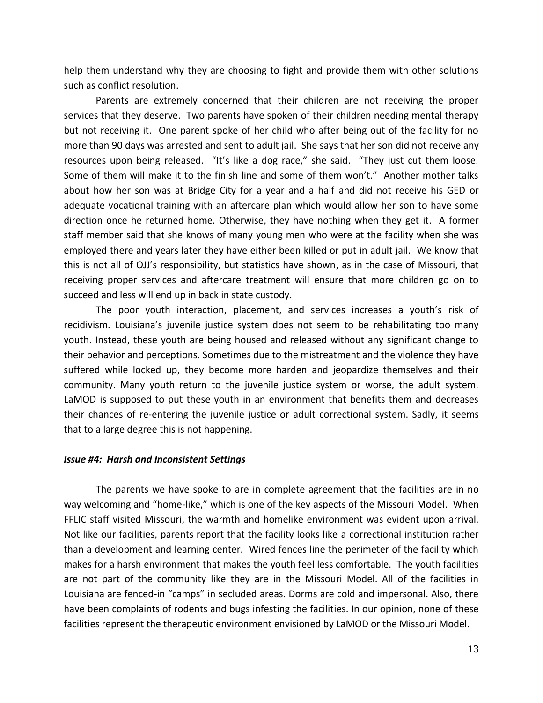help them understand why they are choosing to fight and provide them with other solutions such as conflict resolution.

Parents are extremely concerned that their children are not receiving the proper services that they deserve. Two parents have spoken of their children needing mental therapy but not receiving it. One parent spoke of her child who after being out of the facility for no more than 90 days was arrested and sent to adult jail. She says that her son did not receive any resources upon being released. "It's like a dog race," she said. "They just cut them loose. Some of them will make it to the finish line and some of them won't." Another mother talks about how her son was at Bridge City for a year and a half and did not receive his GED or adequate vocational training with an aftercare plan which would allow her son to have some direction once he returned home. Otherwise, they have nothing when they get it. A former staff member said that she knows of many young men who were at the facility when she was employed there and years later they have either been killed or put in adult jail. We know that this is not all of OJJ's responsibility, but statistics have shown, as in the case of Missouri, that receiving proper services and aftercare treatment will ensure that more children go on to succeed and less will end up in back in state custody.

The poor youth interaction, placement, and services increases a youth's risk of recidivism. Louisiana's juvenile justice system does not seem to be rehabilitating too many youth. Instead, these youth are being housed and released without any significant change to their behavior and perceptions. Sometimes due to the mistreatment and the violence they have suffered while locked up, they become more harden and jeopardize themselves and their community. Many youth return to the juvenile justice system or worse, the adult system. LaMOD is supposed to put these youth in an environment that benefits them and decreases their chances of re-entering the juvenile justice or adult correctional system. Sadly, it seems that to a large degree this is not happening.

#### *Issue #4: Harsh and Inconsistent Settings*

The parents we have spoke to are in complete agreement that the facilities are in no way welcoming and "home-like," which is one of the key aspects of the Missouri Model. When FFLIC staff visited Missouri, the warmth and homelike environment was evident upon arrival. Not like our facilities, parents report that the facility looks like a correctional institution rather than a development and learning center. Wired fences line the perimeter of the facility which makes for a harsh environment that makes the youth feel less comfortable. The youth facilities are not part of the community like they are in the Missouri Model. All of the facilities in Louisiana are fenced-in "camps" in secluded areas. Dorms are cold and impersonal. Also, there have been complaints of rodents and bugs infesting the facilities. In our opinion, none of these facilities represent the therapeutic environment envisioned by LaMOD or the Missouri Model.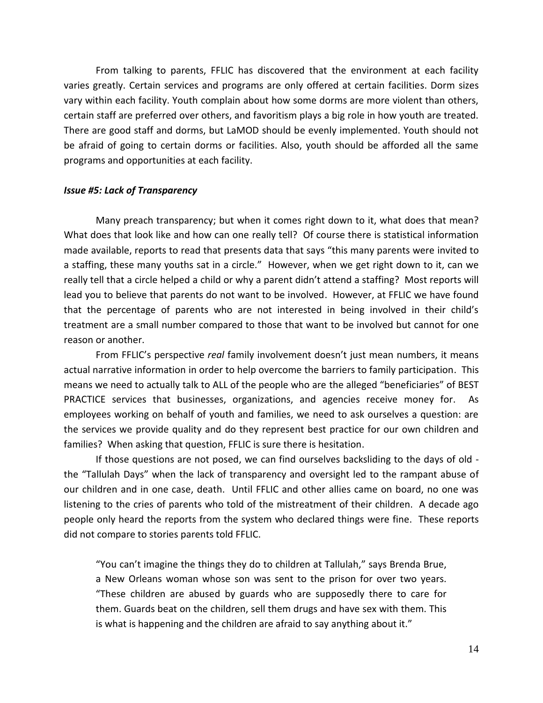From talking to parents, FFLIC has discovered that the environment at each facility varies greatly. Certain services and programs are only offered at certain facilities. Dorm sizes vary within each facility. Youth complain about how some dorms are more violent than others, certain staff are preferred over others, and favoritism plays a big role in how youth are treated. There are good staff and dorms, but LaMOD should be evenly implemented. Youth should not be afraid of going to certain dorms or facilities. Also, youth should be afforded all the same programs and opportunities at each facility.

#### *Issue #5: Lack of Transparency*

Many preach transparency; but when it comes right down to it, what does that mean? What does that look like and how can one really tell? Of course there is statistical information made available, reports to read that presents data that says "this many parents were invited to a staffing, these many youths sat in a circle." However, when we get right down to it, can we really tell that a circle helped a child or why a parent didn't attend a staffing? Most reports will lead you to believe that parents do not want to be involved. However, at FFLIC we have found that the percentage of parents who are not interested in being involved in their child's treatment are a small number compared to those that want to be involved but cannot for one reason or another.

From FFLIC's perspective *real* family involvement doesn't just mean numbers, it means actual narrative information in order to help overcome the barriers to family participation. This means we need to actually talk to ALL of the people who are the alleged "beneficiaries" of BEST PRACTICE services that businesses, organizations, and agencies receive money for. As employees working on behalf of youth and families, we need to ask ourselves a question: are the services we provide quality and do they represent best practice for our own children and families? When asking that question, FFLIC is sure there is hesitation.

If those questions are not posed, we can find ourselves backsliding to the days of old the "Tallulah Days" when the lack of transparency and oversight led to the rampant abuse of our children and in one case, death. Until FFLIC and other allies came on board, no one was listening to the cries of parents who told of the mistreatment of their children. A decade ago people only heard the reports from the system who declared things were fine. These reports did not compare to stories parents told FFLIC.

"You can't imagine the things they do to children at Tallulah," says Brenda Brue, a New Orleans woman whose son was sent to the prison for over two years. "These children are abused by guards who are supposedly there to care for them. Guards beat on the children, sell them drugs and have sex with them. This is what is happening and the children are afraid to say anything about it."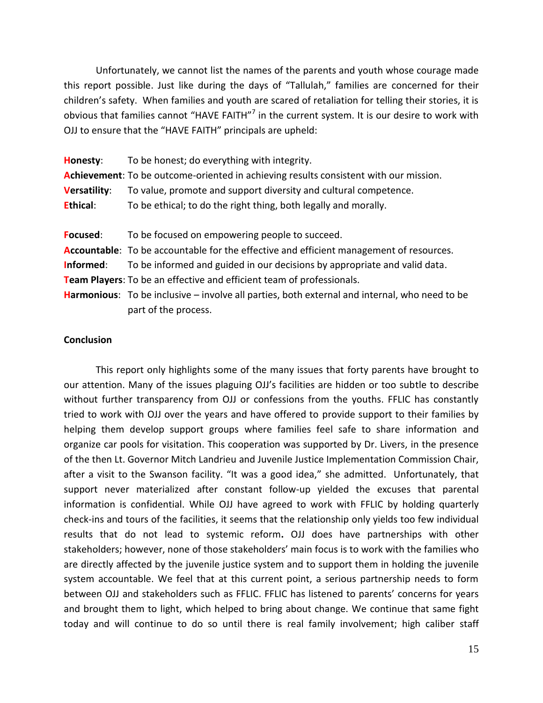Unfortunately, we cannot list the names of the parents and youth whose courage made this report possible. Just like during the days of "Tallulah," families are concerned for their children's safety. When families and youth are scared of retaliation for telling their stories, it is obvious that families cannot "HAVE FAITH"<sup>7</sup> in the current system. It is our desire to work with OJJ to ensure that the "HAVE FAITH" principals are upheld:

| Honesty:            | To be honest; do everything with integrity.                                                            |
|---------------------|--------------------------------------------------------------------------------------------------------|
|                     | <b>Achievement:</b> To be outcome-oriented in achieving results consistent with our mission.           |
| <b>Versatility:</b> | To value, promote and support diversity and cultural competence.                                       |
| Ethical:            | To be ethical; to do the right thing, both legally and morally.                                        |
|                     |                                                                                                        |
| Focused:            | To be focused on empowering people to succeed.                                                         |
|                     | <b>Accountable:</b> To be accountable for the effective and efficient management of resources.         |
| Informed:           | To be informed and guided in our decisions by appropriate and valid data.                              |
|                     | <b>Team Players:</b> To be an effective and efficient team of professionals.                           |
|                     | <b>Harmonious:</b> To be inclusive $-$ involve all parties, both external and internal, who need to be |
|                     | part of the process.                                                                                   |

#### **Conclusion**

This report only highlights some of the many issues that forty parents have brought to our attention. Many of the issues plaguing OJJ's facilities are hidden or too subtle to describe without further transparency from OJJ or confessions from the youths. FFLIC has constantly tried to work with OJJ over the years and have offered to provide support to their families by helping them develop support groups where families feel safe to share information and organize car pools for visitation. This cooperation was supported by Dr. Livers, in the presence of the then Lt. Governor Mitch Landrieu and Juvenile Justice Implementation Commission Chair, after a visit to the Swanson facility. "It was a good idea," she admitted. Unfortunately, that support never materialized after constant follow-up yielded the excuses that parental information is confidential. While OJJ have agreed to work with FFLIC by holding quarterly check-ins and tours of the facilities, it seems that the relationship only yields too few individual results that do not lead to systemic reform**.** OJJ does have partnerships with other stakeholders; however, none of those stakeholders' main focus is to work with the families who are directly affected by the juvenile justice system and to support them in holding the juvenile system accountable. We feel that at this current point, a serious partnership needs to form between OJJ and stakeholders such as FFLIC. FFLIC has listened to parents' concerns for years and brought them to light, which helped to bring about change. We continue that same fight today and will continue to do so until there is real family involvement; high caliber staff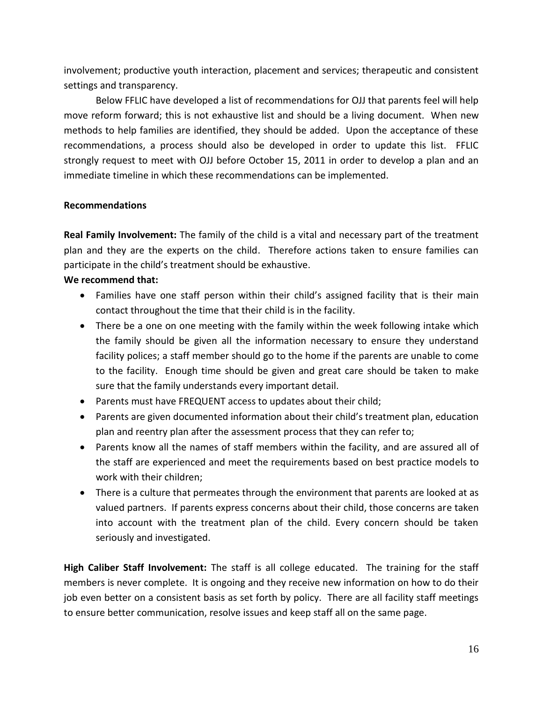involvement; productive youth interaction, placement and services; therapeutic and consistent settings and transparency.

Below FFLIC have developed a list of recommendations for OJJ that parents feel will help move reform forward; this is not exhaustive list and should be a living document. When new methods to help families are identified, they should be added. Upon the acceptance of these recommendations, a process should also be developed in order to update this list. FFLIC strongly request to meet with OJJ before October 15, 2011 in order to develop a plan and an immediate timeline in which these recommendations can be implemented.

# **Recommendations**

**Real Family Involvement:** The family of the child is a vital and necessary part of the treatment plan and they are the experts on the child. Therefore actions taken to ensure families can participate in the child's treatment should be exhaustive.

# **We recommend that:**

- Families have one staff person within their child's assigned facility that is their main contact throughout the time that their child is in the facility.
- There be a one on one meeting with the family within the week following intake which the family should be given all the information necessary to ensure they understand facility polices; a staff member should go to the home if the parents are unable to come to the facility. Enough time should be given and great care should be taken to make sure that the family understands every important detail.
- Parents must have FREQUENT access to updates about their child;
- Parents are given documented information about their child's treatment plan, education plan and reentry plan after the assessment process that they can refer to;
- Parents know all the names of staff members within the facility, and are assured all of the staff are experienced and meet the requirements based on best practice models to work with their children;
- There is a culture that permeates through the environment that parents are looked at as valued partners. If parents express concerns about their child, those concerns are taken into account with the treatment plan of the child. Every concern should be taken seriously and investigated.

**High Caliber Staff Involvement:** The staff is all college educated. The training for the staff members is never complete. It is ongoing and they receive new information on how to do their job even better on a consistent basis as set forth by policy. There are all facility staff meetings to ensure better communication, resolve issues and keep staff all on the same page.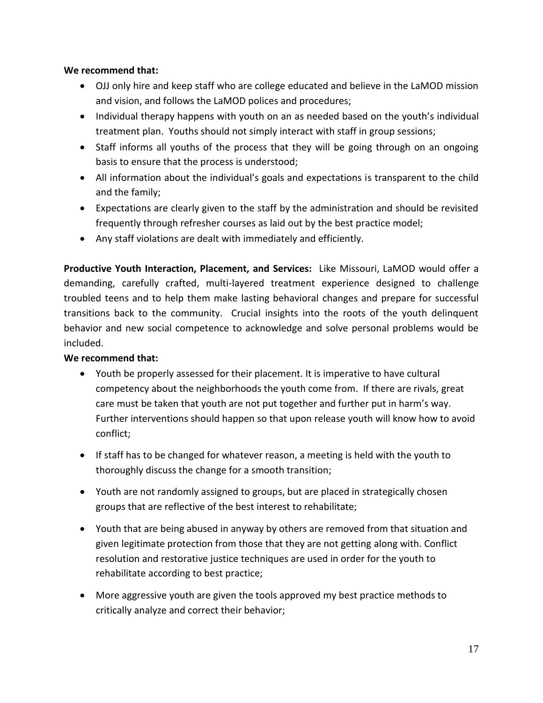# **We recommend that:**

- OJJ only hire and keep staff who are college educated and believe in the LaMOD mission and vision, and follows the LaMOD polices and procedures;
- Individual therapy happens with youth on an as needed based on the youth's individual treatment plan. Youths should not simply interact with staff in group sessions;
- Staff informs all youths of the process that they will be going through on an ongoing basis to ensure that the process is understood;
- All information about the individual's goals and expectations is transparent to the child and the family;
- Expectations are clearly given to the staff by the administration and should be revisited frequently through refresher courses as laid out by the best practice model;
- Any staff violations are dealt with immediately and efficiently.

**Productive Youth Interaction, Placement, and Services:** Like Missouri, LaMOD would offer a demanding, carefully crafted, multi-layered treatment experience designed to challenge troubled teens and to help them make lasting behavioral changes and prepare for successful transitions back to the community. Crucial insights into the roots of the youth delinquent behavior and new social competence to acknowledge and solve personal problems would be included.

# **We recommend that:**

- Youth be properly assessed for their placement. It is imperative to have cultural competency about the neighborhoods the youth come from. If there are rivals, great care must be taken that youth are not put together and further put in harm's way. Further interventions should happen so that upon release youth will know how to avoid conflict;
- If staff has to be changed for whatever reason, a meeting is held with the youth to thoroughly discuss the change for a smooth transition;
- Youth are not randomly assigned to groups, but are placed in strategically chosen groups that are reflective of the best interest to rehabilitate;
- Youth that are being abused in anyway by others are removed from that situation and given legitimate protection from those that they are not getting along with. Conflict resolution and restorative justice techniques are used in order for the youth to rehabilitate according to best practice;
- More aggressive youth are given the tools approved my best practice methods to critically analyze and correct their behavior;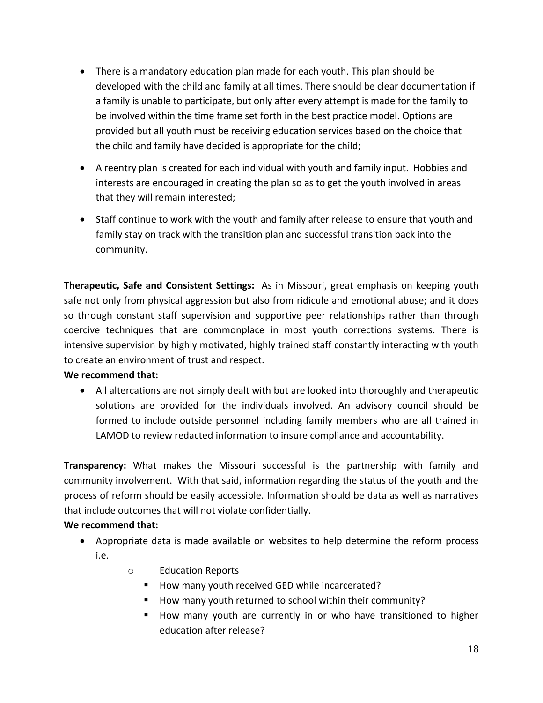- There is a mandatory education plan made for each youth. This plan should be developed with the child and family at all times. There should be clear documentation if a family is unable to participate, but only after every attempt is made for the family to be involved within the time frame set forth in the best practice model. Options are provided but all youth must be receiving education services based on the choice that the child and family have decided is appropriate for the child;
- A reentry plan is created for each individual with youth and family input. Hobbies and interests are encouraged in creating the plan so as to get the youth involved in areas that they will remain interested;
- Staff continue to work with the youth and family after release to ensure that youth and family stay on track with the transition plan and successful transition back into the community.

**Therapeutic, Safe and Consistent Settings:** As in Missouri, great emphasis on keeping youth safe not only from physical aggression but also from ridicule and emotional abuse; and it does so through constant staff supervision and supportive peer relationships rather than through coercive techniques that are commonplace in most youth corrections systems. There is intensive supervision by highly motivated, highly trained staff constantly interacting with youth to create an environment of trust and respect.

# **We recommend that:**

 All altercations are not simply dealt with but are looked into thoroughly and therapeutic solutions are provided for the individuals involved. An advisory council should be formed to include outside personnel including family members who are all trained in LAMOD to review redacted information to insure compliance and accountability.

**Transparency:** What makes the Missouri successful is the partnership with family and community involvement. With that said, information regarding the status of the youth and the process of reform should be easily accessible. Information should be data as well as narratives that include outcomes that will not violate confidentially.

# **We recommend that:**

- Appropriate data is made available on websites to help determine the reform process i.e.
	- o Education Reports
		- How many youth received GED while incarcerated?
		- How many youth returned to school within their community?
		- How many youth are currently in or who have transitioned to higher education after release?